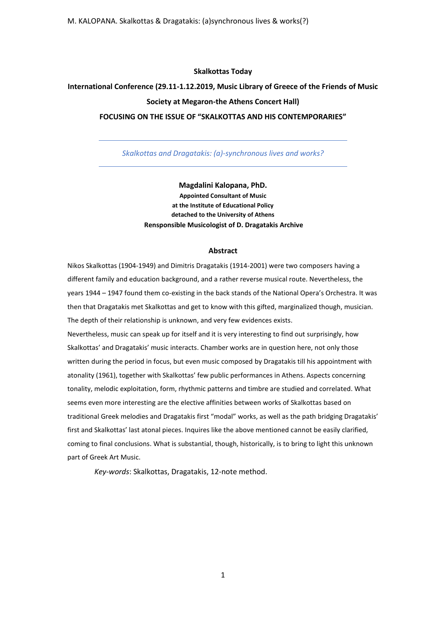M. KALOPANA. Skalkottas & Dragatakis: (a)synchronous lives & works(?)

## **Skalkottas Today**

## **International Conference (29.11-1.12.2019, Music Library of Greece of the Friends of Music Society at Megaron-the Athens Concert Hall)**

## **FOCUSING ON THE ISSUE OF "SKALKOTTAS AND HIS CONTEMPORARIES"**

*Skalkottas and Dragatakis: (a)-synchronous lives and works?*

**Magdalini Kalopana, PhD. Appointed Consultant of Music at the Institute of Educational Policy detached to the University of Athens Rensponsible Musicologist of D. Dragatakis Archive**

## **Abstract**

Nikos Skalkottas (1904-1949) and Dimitris Dragatakis (1914-2001) were two composers having a different family and education background, and a rather reverse musical route. Nevertheless, the years 1944 – 1947 found them co-existing in the back stands of the National Opera's Orchestra. It was then that Dragatakis met Skalkottas and get to know with this gifted, marginalized though, musician. The depth of their relationship is unknown, and very few evidences exists.

Nevertheless, music can speak up for itself and it is very interesting to find out surprisingly, how Skalkottas' and Dragatakis' music interacts. Chamber works are in question here, not only those written during the period in focus, but even music composed by Dragatakis till his appointment with atonality (1961), together with Skalkottas' few public performances in Athens. Aspects concerning tonality, melodic exploitation, form, rhythmic patterns and timbre are studied and correlated. What seems even more interesting are the elective affinities between works of Skalkottas based on traditional Greek melodies and Dragatakis first "modal" works, as well as the path bridging Dragatakis' first and Skalkottas' last atonal pieces. Inquires like the above mentioned cannot be easily clarified, coming to final conclusions. What is substantial, though, historically, is to bring to light this unknown part of Greek Art Music.

*Key-words*: Skalkottas, Dragatakis, 12-note method.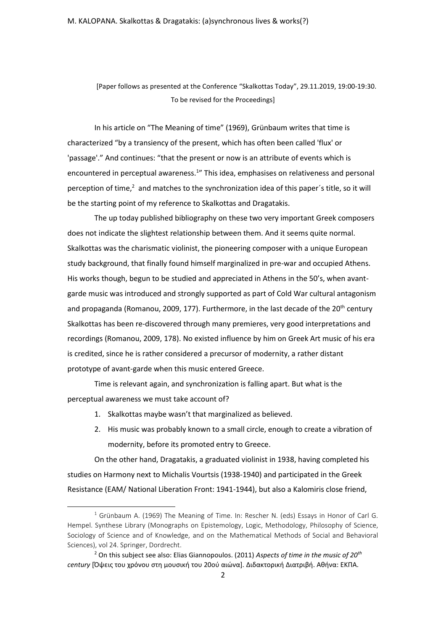[Paper follows as presented at the Conference "Skalkottas Today", 29.11.2019, 19:00-19:30. To be revised for the Proceedings]

In his article on "The Meaning of time" (1969), Grünbaum writes that time is characterized "by a transiency of the present, which has often been called 'flux' or 'passage'." And continues: "that the present or now is an attribute of events which is encountered in perceptual awareness.<sup>1</sup>" This idea, emphasises on relativeness and personal perception of time,<sup>2</sup> and matches to the synchronization idea of this paper's title, so it will be the starting point of my reference to Skalkottas and Dragatakis.

Τhe up today published bibliography on these two very important Greek composers does not indicate the slightest relationship between them. And it seems quite normal. Skalkottas was the charismatic violinist, the pioneering composer with a unique European study background, that finally found himself marginalized in pre-war and occupied Athens. His works though, begun to be studied and appreciated in Athens in the 50's, when avantgarde music was introduced and strongly supported as part of Cold War cultural antagonism and propaganda (Romanou, 2009, 177). Furthermore, in the last decade of the  $20<sup>th</sup>$  century Skalkottas has been re-discovered through many premieres, very good interpretations and recordings (Romanou, 2009, 178). No existed influence by him on Greek Art music of his era is credited, since he is rather considered a precursor of modernity, a rather distant prototype of avant-garde when this music entered Greece.

Time is relevant again, and synchronization is falling apart. But what is the perceptual awareness we must take account of?

- 1. Skalkottas maybe wasn't that marginalized as believed.
- 2. His music was probably known to a small circle, enough to create a vibration of modernity, before its promoted entry to Greece.

On the other hand, Dragatakis, a graduated violinist in 1938, having completed his studies on Harmony next to Michalis Vourtsis (1938-1940) and participated in the Greek Resistance (EAM/ National Liberation Front: 1941-1944), but also a Kalomiris close friend,

<sup>&</sup>lt;sup>1</sup> Grünbaum A. (1969) The Meaning of Time. In: Rescher N. (eds) Essays in Honor of Carl G. Hempel. Synthese Library (Monographs on Epistemology, Logic, Methodology, Philosophy of Science, Sociology of Science and of Knowledge, and on the Mathematical Methods of Social and Behavioral Sciences), vol 24. Springer, Dordrecht.

<sup>2</sup> On this subject see also: Elias Giannopoulos. (2011) *Aspects of time in the music of 20th century* [Όψεις του χρόνου στη μουσική του 20ού αιώνα]. Διδακτορική Διατριβή. Αθήνα: ΕΚΠΑ.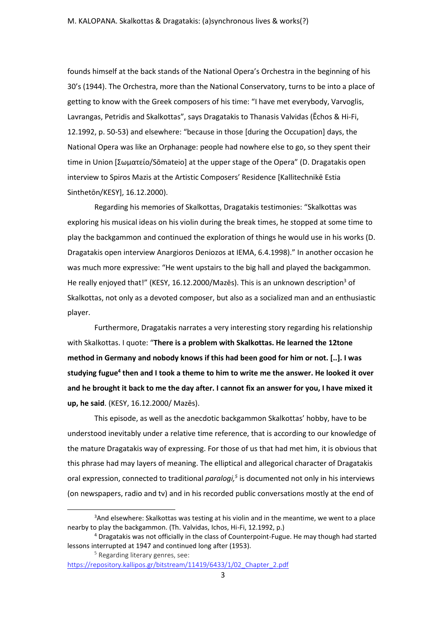founds himself at the back stands of the National Opera's Orchestra in the beginning of his 30's (1944). The Orchestra, more than the National Conservatory, turns to be into a place of getting to know with the Greek composers of his time: "I have met everybody, Varvoglis, Lavrangas, Petridis and Skalkottas", says Dragatakis to Thanasis Valvidas (Ēchos & Hi-Fi, 12.1992, p. 50-53) and elsewhere: "because in those [during the Occupation] days, the National Opera was like an Orphanage: people had nowhere else to go, so they spent their time in Union [Σωματείο/Sōmateio] at the upper stage of the Opera" (D. Dragatakis open interview to Spiros Mazis at the Artistic Composers' Residence [Kallitechnikē Estia Sinthetōn/KESY], 16.12.2000).

Regarding his memories of Skalkottas, Dragatakis testimonies: "Skalkottas was exploring his musical ideas on his violin during the break times, he stopped at some time to play the backgammon and continued the exploration of things he would use in his works (D. Dragatakis open interview Anargioros Deniozos at IEMA, 6.4.1998)." In another occasion he was much more expressive: "He went upstairs to the big hall and played the backgammon. He really enjoyed that!" (KESY, 16.12.2000/Mazes). This is an unknown description<sup>3</sup> of Skalkottas, not only as a devoted composer, but also as a socialized man and an enthusiastic player.

Furthermore, Dragatakis narrates a very interesting story regarding his relationship with Skalkottas. I quote: "**There is a problem with Skalkottas. He learned the 12tone method in Germany and nobody knows if this had been good for him or not. [..]. I was studying fugue<sup>4</sup> then and I took a theme to him to write me the answer. He looked it over and he brought it back to me the day after. I cannot fix an answer for you, I have mixed it up, he said**. (KESY, 16.12.2000/ Mazēs).

This episode, as well as the anecdotic backgammon Skalkottas' hobby, have to be understood inevitably under a relative time reference, that is according to our knowledge of the mature Dragatakis way of expressing. For those of us that had met him, it is obvious that this phrase had may layers of meaning. The elliptical and allegorical character of Dragatakis oral expression, connected to traditional *paralogi,<sup>5</sup>* is documented not only in his interviews (on newspapers, radio and tv) and in his recorded public conversations mostly at the end of

<sup>5</sup> Regarding literary genres, see:

<sup>&</sup>lt;sup>3</sup>And elsewhere: Skalkottas was testing at his violin and in the meantime, we went to a place nearby to play the backgammon. (Th. Valvidas, Ichos, Hi-Fi, 12.1992, p.)

<sup>4</sup> Dragatakis was not officially in the class of Counterpoint-Fugue. He may though had started lessons interrupted at 1947 and continued long after (1953).

[https://repository.kallipos.gr/bitstream/11419/6433/1/02\\_Chapter\\_2.pdf](https://repository.kallipos.gr/bitstream/11419/6433/1/02_Chapter_2.pdf)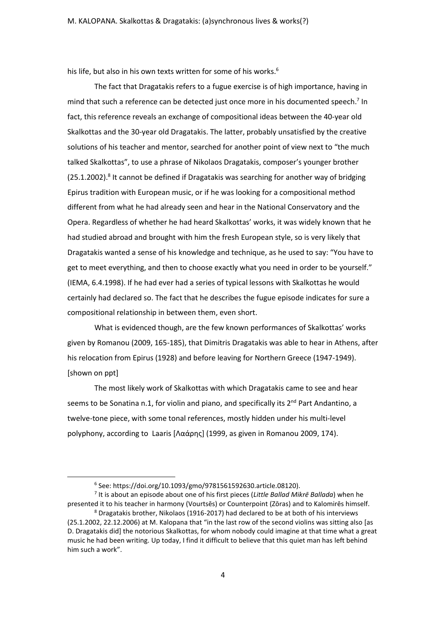his life, but also in his own texts written for some of his works.<sup>6</sup>

The fact that Dragatakis refers to a fugue exercise is of high importance, having in mind that such a reference can be detected just once more in his documented speech.<sup>7</sup> In fact, this reference reveals an exchange of compositional ideas between the 40-year old Skalkottas and the 30-year old Dragatakis. The latter, probably unsatisfied by the creative solutions of his teacher and mentor, searched for another point of view next to "the much talked Skalkottas", to use a phrase of Nikolaos Dragatakis, composer's younger brother  $(25.1.2002).$ <sup>8</sup> It cannot be defined if Dragatakis was searching for another way of bridging Epirus tradition with European music, or if he was looking for a compositional method different from what he had already seen and hear in the National Conservatory and the Opera. Regardless of whether he had heard Skalkottas' works, it was widely known that he had studied abroad and brought with him the fresh European style, so is very likely that Dragatakis wanted a sense of his knowledge and technique, as he used to say: "You have to get to meet everything, and then to choose exactly what you need in order to be yourself." (IEMA, 6.4.1998). If he had ever had a series of typical lessons with Skalkottas he would certainly had declared so. The fact that he describes the fugue episode indicates for sure a compositional relationship in between them, even short.

What is evidenced though, are the few known performances of Skalkottas' works given by Romanou (2009, 165-185), that Dimitris Dragatakis was able to hear in Athens, after his relocation from Epirus (1928) and before leaving for Northern Greece (1947-1949). [shown on ppt]

The most likely work of Skalkottas with which Dragatakis came to see and hear seems to be Sonatina n.1, for violin and piano, and specifically its  $2^{nd}$  Part Andantino, a twelve-tone piece, with some tonal references, mostly hidden under his multi-level polyphony, according to Laaris [Λαάρης] (1999, as given in Romanou 2009, 174).

7 It is about an episode about one of his first pieces (*Little Ballad Mikrē Ballada*) when he presented it to his teacher in harmony (Vourtsēs) or Counterpoint (Zōras) and to Kalomirēs himself.

<sup>6</sup> See: https://doi.org/10.1093/gmo/9781561592630.article.08120).

<sup>8</sup> Dragatakis brother, Nikolaos (1916-2017) had declared to be at both of his interviews (25.1.2002, 22.12.2006) at M. Kalopana that "in the last row of the second violins was sitting also [as D. Dragatakis did] the notorious Skalkottas, for whom nobody could imagine at that time what a great music he had been writing. Up today, I find it difficult to believe that this quiet man has left behind him such a work".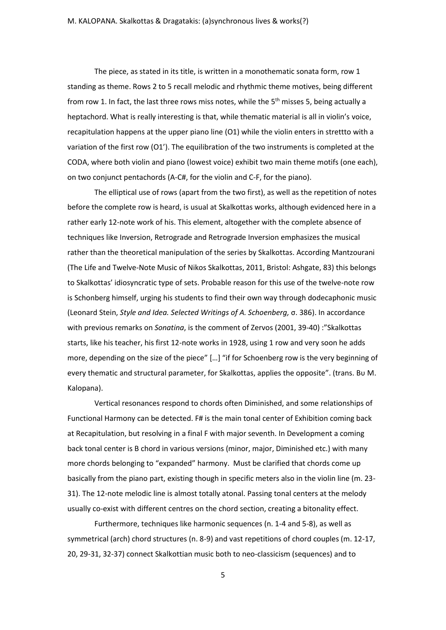The piece, as stated in its title, is written in a monothematic sonata form, row 1 standing as theme. Rows 2 to 5 recall melodic and rhythmic theme motives, being different from row 1. In fact, the last three rows miss notes, while the  $5<sup>th</sup>$  misses 5, being actually a heptachord. What is really interesting is that, while thematic material is all in violin's voice, recapitulation happens at the upper piano line (O1) while the violin enters in strettto with a variation of the first row (O1'). The equilibration of the two instruments is completed at the CODA, where both violin and piano (lowest voice) exhibit two main theme motifs (one each), on two conjunct pentachords (A-C#, for the violin and C-F, for the piano).

The elliptical use of rows (apart from the two first), as well as the repetition of notes before the complete row is heard, is usual at Skalkottas works, although evidenced here in a rather early 12-note work of his. This element, altogether with the complete absence of techniques like Inversion, Retrograde and Retrograde Inversion emphasizes the musical rather than the theoretical manipulation of the series by Skalkottas. According Mantzourani (The Life and Twelve-Note Music of Nikos Skalkottas, 2011, Bristol: Ashgate, 83) this belongs to Skalkottas' idiosyncratic type of sets. Probable reason for this use of the twelve-note row is Schonberg himself, urging his students to find their own way through dodecaphonic music (Leonard Stein, *Style and Idea. Selected Writings of A. Schoenberg,* σ. 386). In accordance with previous remarks on *Sonatina*, is the comment of Zervos (2001, 39-40) :"Skalkottas starts, like his teacher, his first 12-note works in 1928, using 1 row and very soon he adds more, depending on the size of the piece" […] "if for Schoenberg row is the very beginning of every thematic and structural parameter, for Skalkottas, applies the opposite". (trans. Bυ M. Kalopana).

Vertical resonances respond to chords often Diminished, and some relationships of Functional Harmony can be detected. F# is the main tonal center of Exhibition coming back at Recapitulation, but resolving in a final F with major seventh. In Development a coming back tonal center is B chord in various versions (minor, major, Diminished etc.) with many more chords belonging to "expanded" harmony. Must be clarified that chords come up basically from the piano part, existing though in specific meters also in the violin line (m. 23- 31). The 12-note melodic line is almost totally atonal. Passing tonal centers at the melody usually co-exist with different centres on the chord section, creating a bitonality effect.

Furthermore, techniques like harmonic sequences (n. 1-4 and 5-8), as well as symmetrical (arch) chord structures (n. 8-9) and vast repetitions of chord couples (m. 12-17, 20, 29-31, 32-37) connect Skalkottian music both to neo-classicism (sequences) and to

5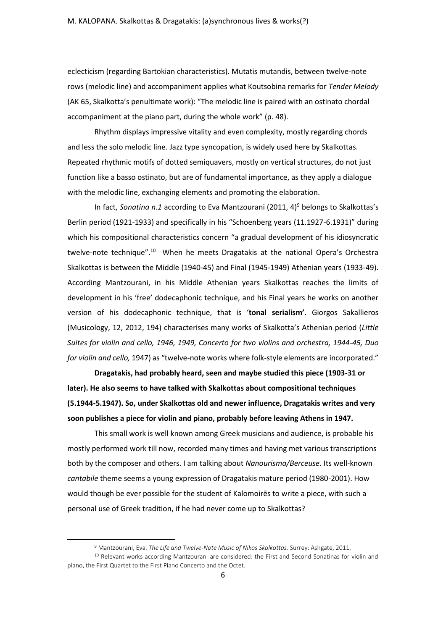eclecticism (regarding Bartokian characteristics). Μutatis mutandis, between twelve-note rows (melodic line) and accompaniment applies what Koutsobina remarks for *Tender Melody*  (AK 65, Skalkotta's penultimate work): "The melodic line is paired with an ostinato chordal accompaniment at the piano part, during the whole work" (p. 48).

Rhythm displays impressive vitality and even complexity, mostly regarding chords and less the solo melodic line. Jazz type syncopation, is widely used here by Skalkottas. Repeated rhythmic motifs of dotted semiquavers, mostly on vertical structures, do not just function like a basso ostinato, but are of fundamental importance, as they apply a dialogue with the melodic line, exchanging elements and promoting the elaboration.

In fact, *Sonatina n.1* according to Eva Mantzourani (2011, 4)<sup>9</sup> belongs to Skalkottas's Berlin period (1921-1933) and specifically in his "Schoenberg years (11.1927-6.1931)" during which his compositional characteristics concern "a gradual development of his idiosyncratic twelve-note technique".<sup>10</sup> When he meets Dragatakis at the national Opera's Orchestra Skalkottas is between the Middle (1940-45) and Final (1945-1949) Athenian years (1933-49). According Mantzourani, in his Middle Athenian years Skalkottas reaches the limits of development in his 'free' dodecaphonic technique, and his Final years he works on another version of his dodecaphonic technique, that is '**tonal serialism'**. Giorgos Sakallieros (Musicology, 12, 2012, 194) characterises many works of Skalkotta's Athenian period (*Little Suites for violin and cello, 1946, 1949, Concerto for two violins and orchestra, 1944-45, Duo for violin and cello,* 1947) as "twelve-note works where folk-style elements are incorporated."

**Dragatakis, had probably heard, seen and maybe studied this piece (1903-31 or later). He also seems to have talked with Skalkottas about compositional techniques (5.1944-5.1947). So, under Skalkottas old and newer influence, Dragatakis writes and very soon publishes a piece for violin and piano, probably before leaving Athens in 1947.**

This small work is well known among Greek musicians and audience, is probable his mostly performed work till now, recorded many times and having met various transcriptions both by the composer and others. Ι am talking about *Nanourisma/Berceuse.* Its well-known *cantabile* theme seems a young expression of Dragatakis mature period (1980-2001). How would though be ever possible for the student of Kalomoirēs to write a piece, with such a personal use of Greek tradition, if he had never come up to Skalkottas?

<sup>9</sup> Mantzourani, Eva. *The Life and Twelve-Note Music of Nikos Skalkottas.* Surrey: Ashgate, 2011.

<sup>&</sup>lt;sup>10</sup> Relevant works according Mantzourani are considered: the First and Second Sonatinas for violin and piano, the First Quartet to the First Piano Concerto and the Octet.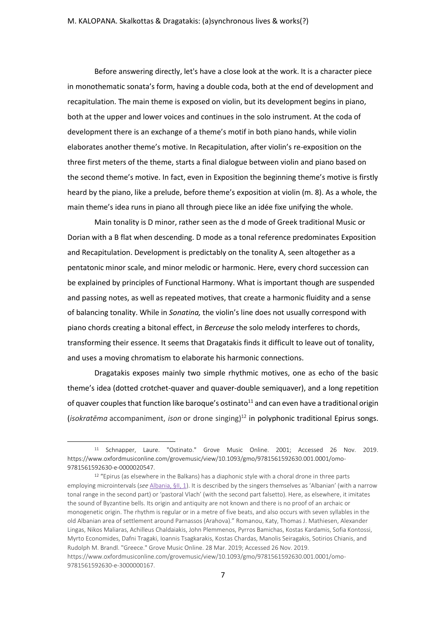Before answering directly, let's have a close look at the work. It is a character piece in monothematic sonata's form, having a double coda, both at the end of development and recapitulation. The main theme is exposed on violin, but its development begins in piano, both at the upper and lower voices and continues in the solo instrument. At the coda of development there is an exchange of a theme's motif in both piano hands, while violin elaborates another theme's motive. In Recapitulation, after violin's re-exposition on the three first meters of the theme, starts a final dialogue between violin and piano based on the second theme's motive. In fact, even in Exposition the beginning theme's motive is firstly heard by the piano, like a prelude, before theme's exposition at violin (m. 8). As a whole, the main theme's idea runs in piano all through piece like an idée fixe unifying the whole.

Main tonality is D minor, rather seen as the d mode of Greek traditional Music or Dorian with a B flat when descending. D mode as a tonal reference predominates Exposition and Recapitulation. Development is predictably on the tonality A, seen altogether as a pentatonic minor scale, and minor melodic or harmonic. Here, every chord succession can be explained by principles of Functional Harmony. What is important though are suspended and passing notes, as well as repeated motives, that create a harmonic fluidity and a sense of balancing tonality. While in *Sonatina,* the violin's line does not usually correspond with piano chords creating a bitonal effect, in *Berceuse* the solo melody interferes to chords, transforming their essence. It seems that Dragatakis finds it difficult to leave out of tonality, and uses a moving chromatism to elaborate his harmonic connections.

Dragatakis exposes mainly two simple rhythmic motives, one as echo of the basic theme's idea (dotted crotchet-quaver and quaver-double semiquaver), and a long repetition of quaver couples that function like baroque's ostinato<sup>11</sup> and can even have a traditional origin (*isokratēma* accompaniment, *ison* or drone singing)<sup>12</sup> in polyphonic traditional Epirus songs.

<sup>11</sup> Schnapper, Laure. "Ostinato." Grove Music Online. 2001; Accessed 26 Nov. 2019. https://www.oxfordmusiconline.com/grovemusic/view/10.1093/gmo/9781561592630.001.0001/omo-9781561592630-e-0000020547.

<sup>&</sup>lt;sup>12</sup> "Epirus (as elsewhere in the Balkans) has a diaphonic style with a choral drone in three parts employing microintervals (*see* [Albania,](https://www.oxfordmusiconline.com/grovemusic/documentId/omo-9781561592630-e-0000040650-div2-0000040650.2.1) §II, 1). It is described by the singers themselves as 'Albanian' (with a narrow tonal range in the second part) or 'pastoral Vlach' (with the second part falsetto). Here, as elsewhere, it imitates the sound of Byzantine bells. Its origin and antiquity are not known and there is no proof of an archaic or monogenetic origin. The rhythm is regular or in a metre of five beats, and also occurs with seven syllables in the old Albanian area of settlement around Parnassos (Arahova)." Romanou, Katy, Thomas J. Mathiesen, Alexander Lingas, Nikos Maliaras, Achilleus Chaldaiakis, John Plemmenos, Pyrros Bamichas, Kostas Kardamis, Sofia Kontossi, Myrto Economides, Dafni Tragaki, Ioannis Tsagkarakis, Kostas Chardas, Manolis Seiragakis, Sotirios Chianis, and Rudolph M. Brandl. "Greece." Grove Music Online. 28 Mar. 2019; Accessed 26 Nov. 2019. https://www.oxfordmusiconline.com/grovemusic/view/10.1093/gmo/9781561592630.001.0001/omo-9781561592630-e-3000000167.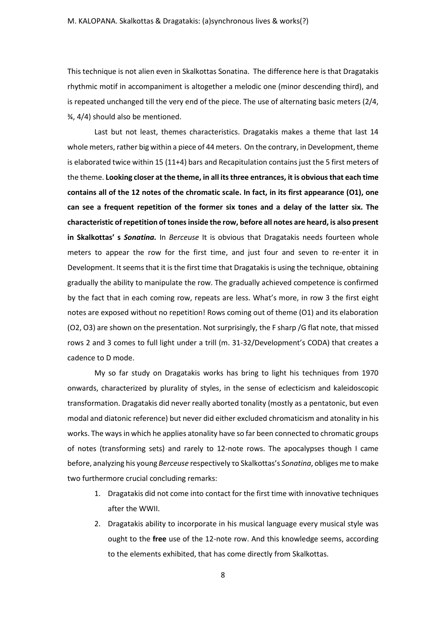This technique is not alien even in Skalkottas Sonatina. The difference here is that Dragatakis rhythmic motif in accompaniment is altogether a melodic one (minor descending third), and is repeated unchanged till the very end of the piece. The use of alternating basic meters (2/4, ¾, 4/4) should also be mentioned.

Last but not least, themes characteristics. Dragatakis makes a theme that last 14 whole meters, rather big within a piece of 44 meters. On the contrary, in Development, theme is elaborated twice within 15 (11+4) bars and Recapitulation contains just the 5 first meters of the theme. **Looking closer at the theme, in all its three entrances, it is obvious that each time contains all of the 12 notes of the chromatic scale. In fact, in its first appearance (O1), one can see a frequent repetition of the former six tones and a delay of the latter six. The characteristic of repetition of tones inside the row, before all notes are heard, is also present in Skalkottas' s** *Sonatina.* In *Berceuse* It is obvious that Dragatakis needs fourteen whole meters to appear the row for the first time, and just four and seven to re-enter it in Development. It seems that it isthe first time that Dragatakis is using the technique, obtaining gradually the ability to manipulate the row. The gradually achieved competence is confirmed by the fact that in each coming row, repeats are less. What's more, in row 3 the first eight notes are exposed without no repetition! Rows coming out of theme (O1) and its elaboration (O2, O3) are shown on the presentation. Not surprisingly, the F sharp /G flat note, that missed rows 2 and 3 comes to full light under a trill (m. 31-32/Development's CODA) that creates a cadence to D mode.

My so far study on Dragatakis works has bring to light his techniques from 1970 onwards, characterized by plurality of styles, in the sense of eclecticism and kaleidoscopic transformation. Dragatakis did never really aborted tonality (mostly as a pentatonic, but even modal and diatonic reference) but never did either excluded chromaticism and atonality in his works. The ways in which he applies atonality have so far been connected to chromatic groups of notes (transforming sets) and rarely to 12-note rows. The apocalypses though I came before, analyzing his young *Berceuse* respectively το Skalkottas's *Sonatina*, obliges me to make two furthermore crucial concluding remarks:

- 1. Dragatakis did not come into contact for the first time with innovative techniques after the WWII.
- 2. Dragatakis ability to incorporate in his musical language every musical style was ought to the **free** use of the 12-note row. And this knowledge seems, according to the elements exhibited, that has come directly from Skalkottas.